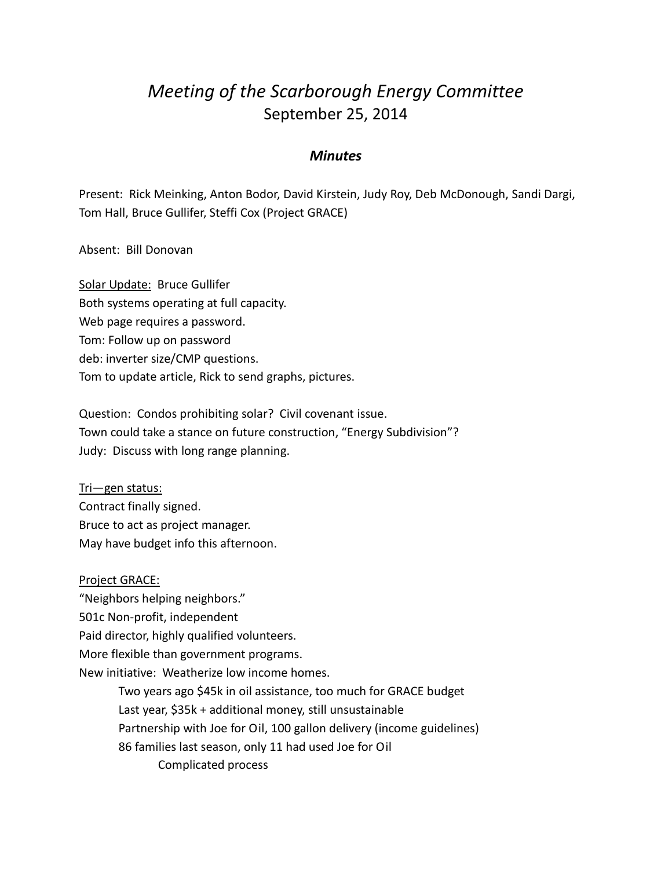## *Meeting of the Scarborough Energy Committee* September 25, 2014

## *Minutes*

Present: Rick Meinking, Anton Bodor, David Kirstein, Judy Roy, Deb McDonough, Sandi Dargi, Tom Hall, Bruce Gullifer, Steffi Cox (Project GRACE)

## Absent: Bill Donovan

Solar Update: Bruce Gullifer Both systems operating at full capacity. Web page requires a password. Tom: Follow up on password deb: inverter size/CMP questions. Tom to update article, Rick to send graphs, pictures.

Question: Condos prohibiting solar? Civil covenant issue. Town could take a stance on future construction, "Energy Subdivision"? Judy: Discuss with long range planning.

Tri—gen status: Contract finally signed. Bruce to act as project manager. May have budget info this afternoon.

## Project GRACE: "Neighbors helping neighbors." 501c Non-profit, independent Paid director, highly qualified volunteers. More flexible than government programs. New initiative: Weatherize low income homes. Two years ago \$45k in oil assistance, too much for GRACE budget Last year, \$35k + additional money, still unsustainable Partnership with Joe for Oil, 100 gallon delivery (income guidelines) 86 families last season, only 11 had used Joe for Oil Complicated process